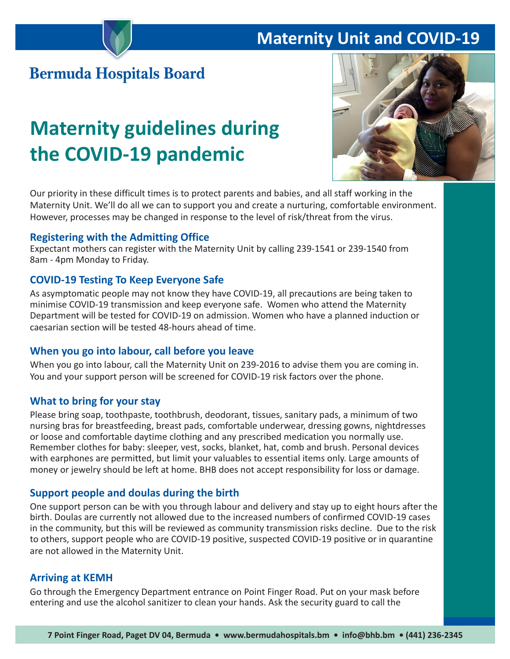# **Maternity Unit and COVID-19**

# **Bermuda Hospitals Board**

# **Maternity guidelines during the COVID-19 pandemic**



Our priority in these difficult times is to protect parents and babies, and all staff working in the Maternity Unit. We'll do all we can to support you and create a nurturing, comfortable environment. However, processes may be changed in response to the level of risk/threat from the virus.

#### **Registering with the Admitting Office**

Expectant mothers can register with the Maternity Unit by calling 239-1541 or 239-1540 from 8am - 4pm Monday to Friday.

#### **COVID-19 Testing To Keep Everyone Safe**

As asymptomatic people may not know they have COVID-19, all precautions are being taken to minimise COVID-19 transmission and keep everyone safe. Women who attend the Maternity Department will be tested for COVID-19 on admission. Women who have a planned induction or caesarian section will be tested 48-hours ahead of time.

#### **When you go into labour, call before you leave**

When you go into labour, call the Maternity Unit on 239-2016 to advise them you are coming in. You and your support person will be screened for COVID-19 risk factors over the phone.

#### **What to bring for your stay**

Please bring soap, toothpaste, toothbrush, deodorant, tissues, sanitary pads, a minimum of two nursing bras for breastfeeding, breast pads, comfortable underwear, dressing gowns, nightdresses or loose and comfortable daytime clothing and any prescribed medication you normally use. Remember clothes for baby: sleeper, vest, socks, blanket, hat, comb and brush. Personal devices with earphones are permitted, but limit your valuables to essential items only. Large amounts of money or jewelry should be left at home. BHB does not accept responsibility for loss or damage.

#### **Support people and doulas during the birth**

One support person can be with you through labour and delivery and stay up to eight hours after the birth. Doulas are currently not allowed due to the increased numbers of confirmed COVID-19 cases in the community, but this will be reviewed as community transmission risks decline. Due to the risk to others, support people who are COVID-19 positive, suspected COVID-19 positive or in quarantine are not allowed in the Maternity Unit.

#### **Arriving at KEMH**

Go through the Emergency Department entrance on Point Finger Road. Put on your mask before entering and use the alcohol sanitizer to clean your hands. Ask the security guard to call the